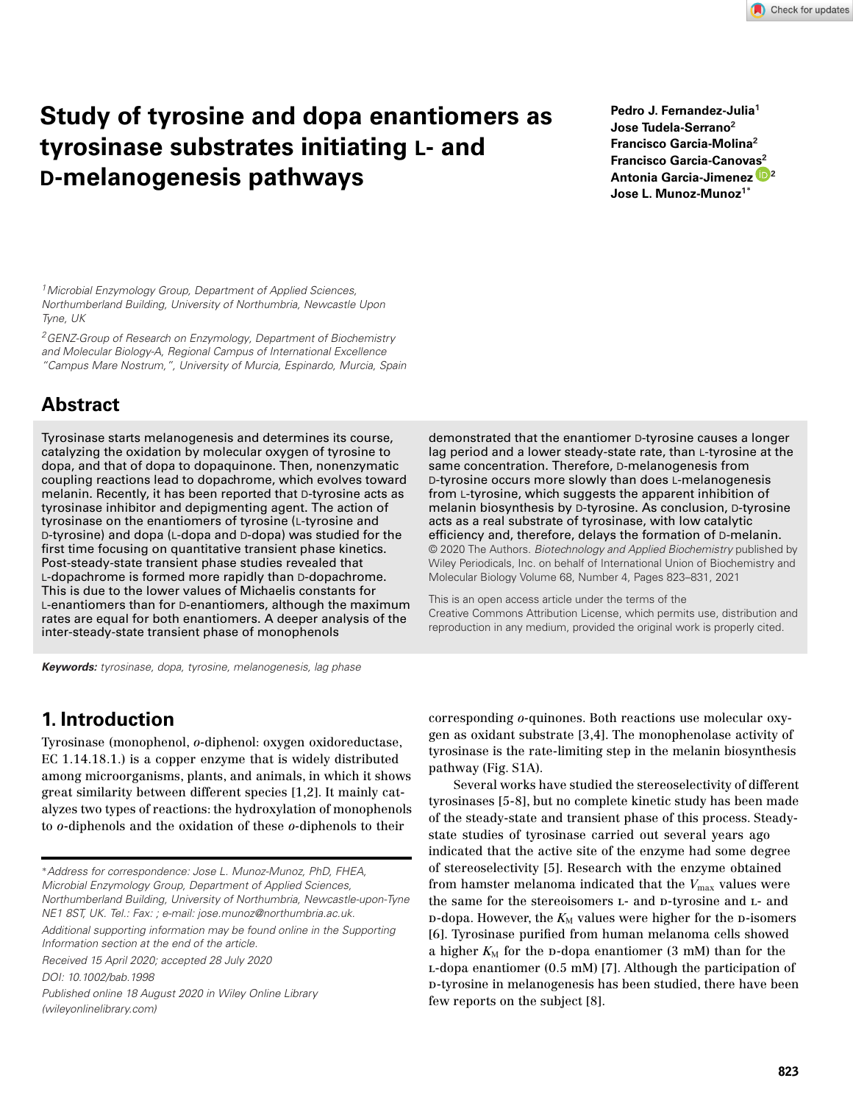# **Study of tyrosine and dopa enantiomers as tyrosinase substrates initiating L- and D-melanogenesis pathways**

**Pedro J. Fernandez-Julia1 Jose Tudela-Serrano2 Francisco Garcia-Molina<sup>2</sup> Francisco Garcia-Canov[as](https://orcid.org/0000-0003-1099-5876)2 Antonia Garcia-Jimenez <sup>2</sup> Jose L. Munoz-Munoz1<sup>∗</sup>**

*1Microbial Enzymology Group, Department of Applied Sciences, Northumberland Building, University of Northumbria, Newcastle Upon Tyne, UK*

*2GENZ-Group of Research on Enzymology, Department of Biochemistry and Molecular Biology-A, Regional Campus of International Excellence "Campus Mare Nostrum,", University of Murcia, Espinardo, Murcia, Spain*

# **Abstract**

Tyrosinase starts melanogenesis and determines its course, catalyzing the oxidation by molecular oxygen of tyrosine to dopa, and that of dopa to dopaquinone. Then, nonenzymatic coupling reactions lead to dopachrome, which evolves toward melanin. Recently, it has been reported that D-tyrosine acts as tyrosinase inhibitor and depigmenting agent. The action of tyrosinase on the enantiomers of tyrosine (L-tyrosine and D-tyrosine) and dopa (L-dopa and D-dopa) was studied for the first time focusing on quantitative transient phase kinetics. Post-steady-state transient phase studies revealed that L-dopachrome is formed more rapidly than D-dopachrome. This is due to the lower values of Michaelis constants for L-enantiomers than for D-enantiomers, although the maximum rates are equal for both enantiomers. A deeper analysis of the inter-steady-state transient phase of monophenols

demonstrated that the enantiomer D-tyrosine causes a longer lag period and a lower steady-state rate, than L-tyrosine at the same concentration. Therefore, D-melanogenesis from D-tyrosine occurs more slowly than does L-melanogenesis from L-tyrosine, which suggests the apparent inhibition of melanin biosynthesis by D-tyrosine. As conclusion, D-tyrosine acts as a real substrate of tyrosinase, with low catalytic efficiency and, therefore, delays the formation of D-melanin. © 2020 The Authors. *Biotechnology and Applied Biochemistry* published by Wiley Periodicals, Inc. on behalf of International Union of Biochemistry and Molecular Biology Volume 68, Number 4, Pages 823–831, 2021

This is an open access article under the terms of the [Creative Commons Attribution](http://creativecommons.org/licenses/by/4.0/) License, which permits use, distribution and reproduction in any medium, provided the original work is properly cited.

*Keywords: tyrosinase, dopa, tyrosine, melanogenesis, lag phase*

# **1. Introduction**

Tyrosinase (monophenol, *o-*diphenol: oxygen oxidoreductase, EC 1.14.18.1.) is a copper enzyme that is widely distributed among microorganisms, plants, and animals, in which it shows great similarity between different species [1,2]. It mainly catalyzes two types of reactions: the hydroxylation of monophenols to *o*-diphenols and the oxidation of these *o-*diphenols to their

∗*Address for correspondence: Jose L. Munoz-Munoz, PhD, FHEA, Microbial Enzymology Group, Department of Applied Sciences, Northumberland Building, University of Northumbria, Newcastle-upon-Tyne NE1 8ST, UK. Tel.: Fax: ; e-mail: jose.munoz@northumbria.ac.uk.*

*Additional supporting information may be found online in the Supporting Information section at the end of the article.*

*Received 15 April 2020; accepted 28 July 2020*

*DOI: 10.1002/bab.1998*

*Published online 18 August 2020 in Wiley Online Library (wileyonlinelibrary.com)*

corresponding *o-*quinones. Both reactions use molecular oxygen as oxidant substrate [3,4]. The monophenolase activity of tyrosinase is the rate-limiting step in the melanin biosynthesis pathway (Fig. S1A).

Several works have studied the stereoselectivity of different tyrosinases [5-8], but no complete kinetic study has been made of the steady-state and transient phase of this process. Steadystate studies of tyrosinase carried out several years ago indicated that the active site of the enzyme had some degree of stereoselectivity [5]. Research with the enzyme obtained from hamster melanoma indicated that the  $V_{\text{max}}$  values were the same for the stereoisomers L- and D-tyrosine and L- and  $p$ -dopa. However, the  $K_M$  values were higher for the  $p$ -isomers [6]. Tyrosinase purified from human melanoma cells showed a higher  $K_M$  for the p-dopa enantiomer (3 mM) than for the l-dopa enantiomer (0.5 mM) [7]. Although the participation of d-tyrosine in melanogenesis has been studied, there have been few reports on the subject [8].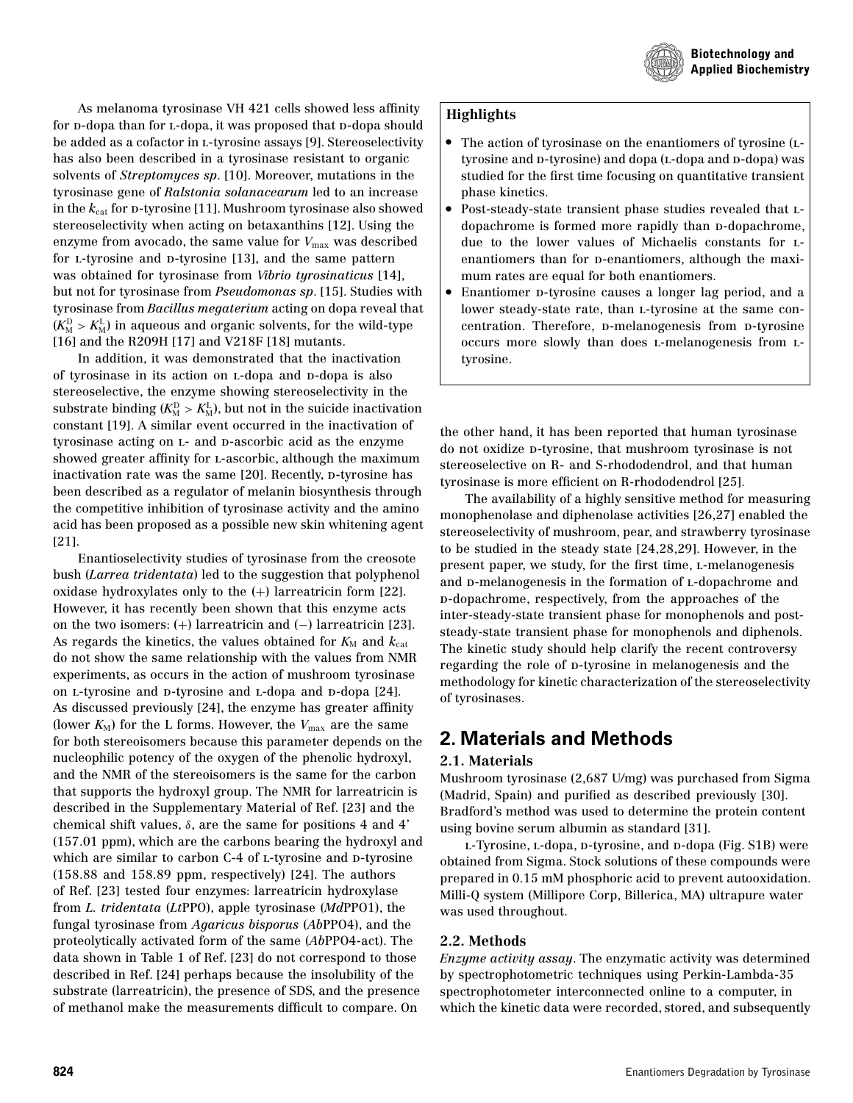

As melanoma tyrosinase VH 421 cells showed less affinity for p-dopa than for L-dopa, it was proposed that p-dopa should be added as a cofactor in l-tyrosine assays [9]. Stereoselectivity has also been described in a tyrosinase resistant to organic solvents of *Streptomyces sp*. [10]. Moreover, mutations in the tyrosinase gene of *Ralstonia solanacearum* led to an increase in the  $k_{\text{cat}}$  for p-tyrosine [11]. Mushroom tyrosinase also showed stereoselectivity when acting on betaxanthins [12]. Using the enzyme from avocado, the same value for  $V_{\text{max}}$  was described for *L*-tyrosine and *D*-tyrosine [13], and the same pattern was obtained for tyrosinase from *Vibrio tyrosinaticus* [14], but not for tyrosinase from *Pseudomonas sp*. [15]. Studies with tyrosinase from *Bacillus megaterium* acting on dopa reveal that  $(K_{\text{M}}^{\text{D}} > K_{\text{M}}^{\text{L}})$  in aqueous and organic solvents, for the wild-type [16] and the R209H [17] and V218F [18] mutants.

In addition, it was demonstrated that the inactivation of tyrosinase in its action on L-dopa and D-dopa is also stereoselective, the enzyme showing stereoselectivity in the substrate binding ( $K_{\text{M}}^{\text{D}} > K_{\text{M}}^{\text{L}}$ ), but not in the suicide inactivation constant [19]. A similar event occurred in the inactivation of tyrosinase acting on  $L$ - and  $D$ -ascorbic acid as the enzyme showed greater affinity for L-ascorbic, although the maximum inactivation rate was the same [20]. Recently, p-tyrosine has been described as a regulator of melanin biosynthesis through the competitive inhibition of tyrosinase activity and the amino acid has been proposed as a possible new skin whitening agent [21].

Enantioselectivity studies of tyrosinase from the creosote bush (*Larrea tridentata*) led to the suggestion that polyphenol oxidase hydroxylates only to the (+) larreatricin form [22]. However, it has recently been shown that this enzyme acts on the two isomers: (+) larreatricin and (−) larreatricin [23]. As regards the kinetics, the values obtained for  $K_M$  and  $k_{cat}$ do not show the same relationship with the values from NMR experiments, as occurs in the action of mushroom tyrosinase on *L*-tyrosine and *D*-tyrosine and *L*-dopa and *D*-dopa [24]. As discussed previously [24], the enzyme has greater affinity (lower  $K_M$ ) for the L forms. However, the  $V_{\text{max}}$  are the same for both stereoisomers because this parameter depends on the nucleophilic potency of the oxygen of the phenolic hydroxyl, and the NMR of the stereoisomers is the same for the carbon that supports the hydroxyl group. The NMR for larreatricin is described in the Supplementary Material of Ref. [23] and the chemical shift values,  $\delta$ , are the same for positions 4 and 4' (157.01 ppm), which are the carbons bearing the hydroxyl and which are similar to carbon C-4 of L-tyrosine and D-tyrosine (158.88 and 158.89 ppm, respectively) [24]. The authors of Ref. [23] tested four enzymes: larreatricin hydroxylase from *L. tridentata* (*Lt*PPO), apple tyrosinase (*Md*PPO1), the fungal tyrosinase from *Agaricus bisporus* (*Ab*PPO4), and the proteolytically activated form of the same (*Ab*PPO4-act). The data shown in Table 1 of Ref. [23] do not correspond to those described in Ref. [24] perhaps because the insolubility of the substrate (larreatricin), the presence of SDS, and the presence of methanol make the measurements difficult to compare. On

### **Highlights**

- The action of tyrosinase on the enantiomers of tyrosine (ltyrosine and p-tyrosine) and dopa (L-dopa and p-dopa) was studied for the first time focusing on quantitative transient
- phase kinetics.<br>• Post-steady-state transient phase studies revealed that Ldopachrome is formed more rapidly than  $p$ -dopachrome, due to the lower values of Michaelis constants for lenantiomers than for p-enantiomers, although the maxi-
- mum rates are equal for both enantiomers.<br>• Enantiomer p-tyrosine causes a longer lag period, and a lower steady-state rate, than l-tyrosine at the same concentration. Therefore, p-melanogenesis from p-tyrosine occurs more slowly than does l-melanogenesis from ltyrosine.

the other hand, it has been reported that human tyrosinase do not oxidize d-tyrosine, that mushroom tyrosinase is not stereoselective on R- and S-rhododendrol, and that human tyrosinase is more efficient on R-rhododendrol [25].

The availability of a highly sensitive method for measuring monophenolase and diphenolase activities [26,27] enabled the stereoselectivity of mushroom, pear, and strawberry tyrosinase to be studied in the steady state [24,28,29]. However, in the present paper, we study, for the first time, l-melanogenesis and p-melanogenesis in the formation of L-dopachrome and d-dopachrome, respectively, from the approaches of the inter-steady-state transient phase for monophenols and poststeady-state transient phase for monophenols and diphenols. The kinetic study should help clarify the recent controversy regarding the role of p-tyrosine in melanogenesis and the methodology for kinetic characterization of the stereoselectivity of tyrosinases.

### **2. Materials and Methods**

### **2.1. Materials**

Mushroom tyrosinase (2,687 U/mg) was purchased from Sigma (Madrid, Spain) and purified as described previously [30]. Bradford's method was used to determine the protein content using bovine serum albumin as standard [31].

L-Tyrosine, L-dopa, D-tyrosine, and D-dopa (Fig. S1B) were obtained from Sigma. Stock solutions of these compounds were prepared in 0.15 mM phosphoric acid to prevent autooxidation. Milli-Q system (Millipore Corp, Billerica, MA) ultrapure water was used throughout.

### **2.2. Methods**

*Enzyme activity assay*. The enzymatic activity was determined by spectrophotometric techniques using Perkin-Lambda-35 spectrophotometer interconnected online to a computer, in which the kinetic data were recorded, stored, and subsequently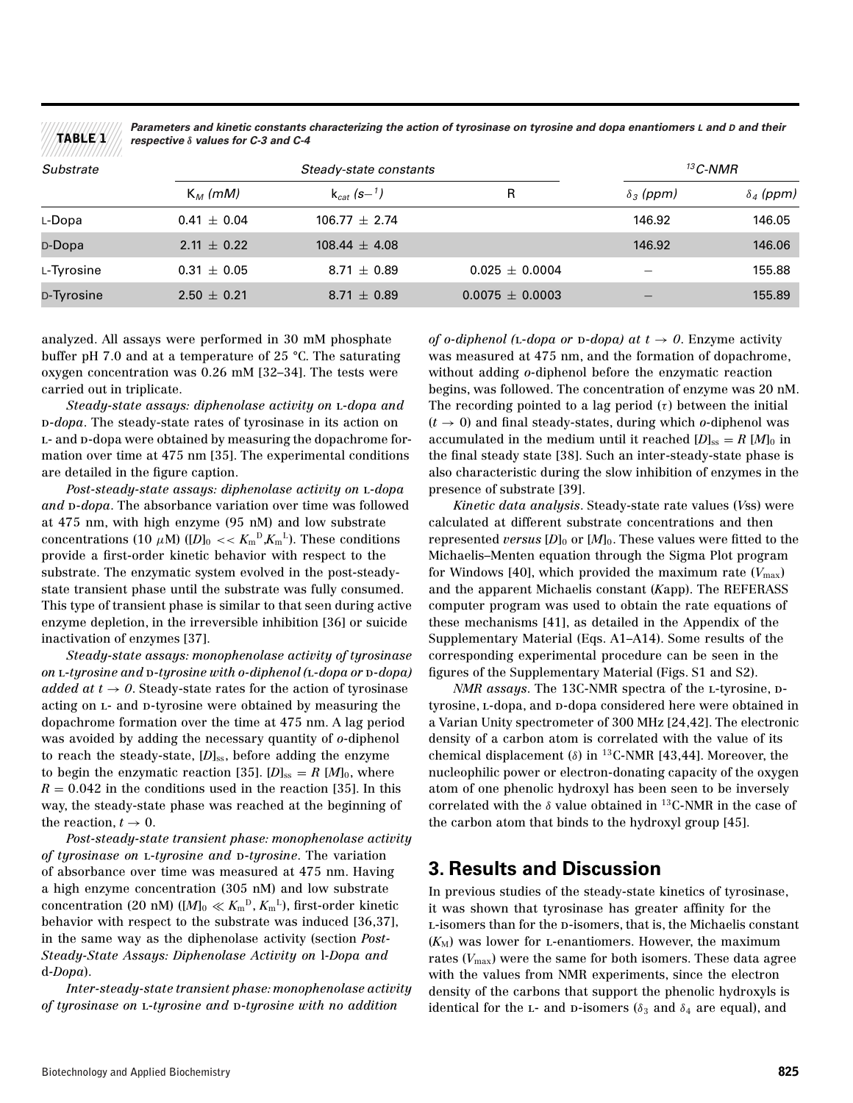*Parameters and kinetic constants characterizing the action of tyrosinase on tyrosine and dopa enantiomers L and D and their respective δ values for C-3 and C-4*

| Substrate  | Steady-state constants |                   |                     | $13$ C-NMR       |                  |
|------------|------------------------|-------------------|---------------------|------------------|------------------|
|            | $K_M$ (mM)             | $k_{cst}$ (s-1)   | R                   | $\delta_3$ (ppm) | $\delta_4$ (ppm) |
| L-Dopa     | $0.41 \pm 0.04$        | $106.77 + 2.74$   |                     | 146.92           | 146.05           |
| D-Dopa     | $2.11 \pm 0.22$        | $108.44 \pm 4.08$ |                     | 146.92           | 146.06           |
| L-Tyrosine | $0.31 \pm 0.05$        | $8.71 \pm 0.89$   | $0.025 \pm 0.0004$  |                  | 155.88           |
| D-Tyrosine | $2.50 \pm 0.21$        | $8.71 \pm 0.89$   | $0.0075 \pm 0.0003$ |                  | 155.89           |

analyzed. All assays were performed in 30 mM phosphate buffer pH 7.0 and at a temperature of 25 °C. The saturating oxygen concentration was 0.26 mM [32–34]. The tests were carried out in triplicate.

**TABLE 1**

*Steady-state assays: diphenolase activity on* l-*dopa and* d-*dopa*. The steady-state rates of tyrosinase in its action on L- and D-dopa were obtained by measuring the dopachrome formation over time at 475 nm [35]. The experimental conditions are detailed in the figure caption.

*Post-steady-state assays: diphenolase activity on* l-*dopa* and  $p$ -*dopa*. The absorbance variation over time was followed at 475 nm, with high enzyme (95 nM) and low substrate concentrations (10  $\mu$ M) ([*D*]<sub>0</sub> <<  $K_m$ <sup>D</sup>, $K_m$ <sup>L</sup>). These conditions provide a first-order kinetic behavior with respect to the substrate. The enzymatic system evolved in the post-steadystate transient phase until the substrate was fully consumed. This type of transient phase is similar to that seen during active enzyme depletion, in the irreversible inhibition [36] or suicide inactivation of enzymes [37].

*Steady-state assays: monophenolase activity of tyrosinase on L*-*tyrosine* and *D*-*tyrosine* with *o*-diphenol (*L*-dopa or *D*-dopa) *added at t*  $\rightarrow$  *0*. Steady-state rates for the action of tyrosinase acting on  $L$ - and  $D$ -tyrosine were obtained by measuring the dopachrome formation over the time at 475 nm. A lag period was avoided by adding the necessary quantity of *o-*diphenol to reach the steady-state,  $[D]_{ss}$ , before adding the enzyme to begin the enzymatic reaction [35].  $[D]_{ss} = R \,[M]_0$ , where  $R = 0.042$  in the conditions used in the reaction [35]. In this way, the steady-state phase was reached at the beginning of the reaction,  $t \to 0$ .

*Post-steady-state transient phase: monophenolase activity of tyrosinase on* l-*tyrosine and* d-*tyrosine*. The variation of absorbance over time was measured at 475 nm. Having a high enzyme concentration (305 nM) and low substrate concentration (20 nM) ( $[M]_0 \ll K_{\rm m}^{D}$ ,  $K_{\rm m}^{L}$ ), first-order kinetic behavior with respect to the substrate was induced [36,37], in the same way as the diphenolase activity (section *Post-Steady-State Assays: Diphenolase Activity on* l*-Dopa and* d*-Dopa*).

*Inter-steady-state transient phase: monophenolase activity of tyrosinase on* l-*tyrosine and* d-*tyrosine with no addition*

*of o-diphenol* (*L-dopa or*  $D$ -*dopa) at*  $t \rightarrow 0$ . Enzyme activity was measured at 475 nm, and the formation of dopachrome, without adding *o-*diphenol before the enzymatic reaction begins, was followed. The concentration of enzyme was 20 nM. The recording pointed to a lag period  $(\tau)$  between the initial  $(t \rightarrow 0)$  and final steady-states, during which *o*-diphenol was accumulated in the medium until it reached  $[D]_{ss} = R \ [M]_0$  in the final steady state [38]. Such an inter-steady-state phase is also characteristic during the slow inhibition of enzymes in the presence of substrate [39].

*Kinetic data analysis*. Steady-state rate values (*V*ss) were calculated at different substrate concentrations and then represented *versus*  $[D]_0$  or  $[M]_0$ . These values were fitted to the Michaelis–Menten equation through the Sigma Plot program for Windows [40], which provided the maximum rate  $(V_{\text{max}})$ and the apparent Michaelis constant (*K*app). The REFERASS computer program was used to obtain the rate equations of these mechanisms [41], as detailed in the Appendix of the Supplementary Material (Eqs. A1–A14). Some results of the corresponding experimental procedure can be seen in the figures of the Supplementary Material (Figs. S1 and S2).

*NMR assays.* The 13C-NMR spectra of the L-tyrosine, Dtyrosine, L-dopa, and D-dopa considered here were obtained in a Varian Unity spectrometer of 300 MHz [24,42]. The electronic density of a carbon atom is correlated with the value of its chemical displacement ( $\delta$ ) in <sup>13</sup>C-NMR [43,44]. Moreover, the nucleophilic power or electron-donating capacity of the oxygen atom of one phenolic hydroxyl has been seen to be inversely correlated with the  $\delta$  value obtained in <sup>13</sup>C-NMR in the case of the carbon atom that binds to the hydroxyl group [45].

### **3. Results and Discussion**

In previous studies of the steady-state kinetics of tyrosinase, it was shown that tyrosinase has greater affinity for the L-isomers than for the p-isomers, that is, the Michaelis constant  $(K_M)$  was lower for *L*-enantiomers. However, the maximum rates  $(V_{\text{max}})$  were the same for both isomers. These data agree with the values from NMR experiments, since the electron density of the carbons that support the phenolic hydroxyls is identical for the L- and D-isomers ( $\delta_3$  and  $\delta_4$  are equal), and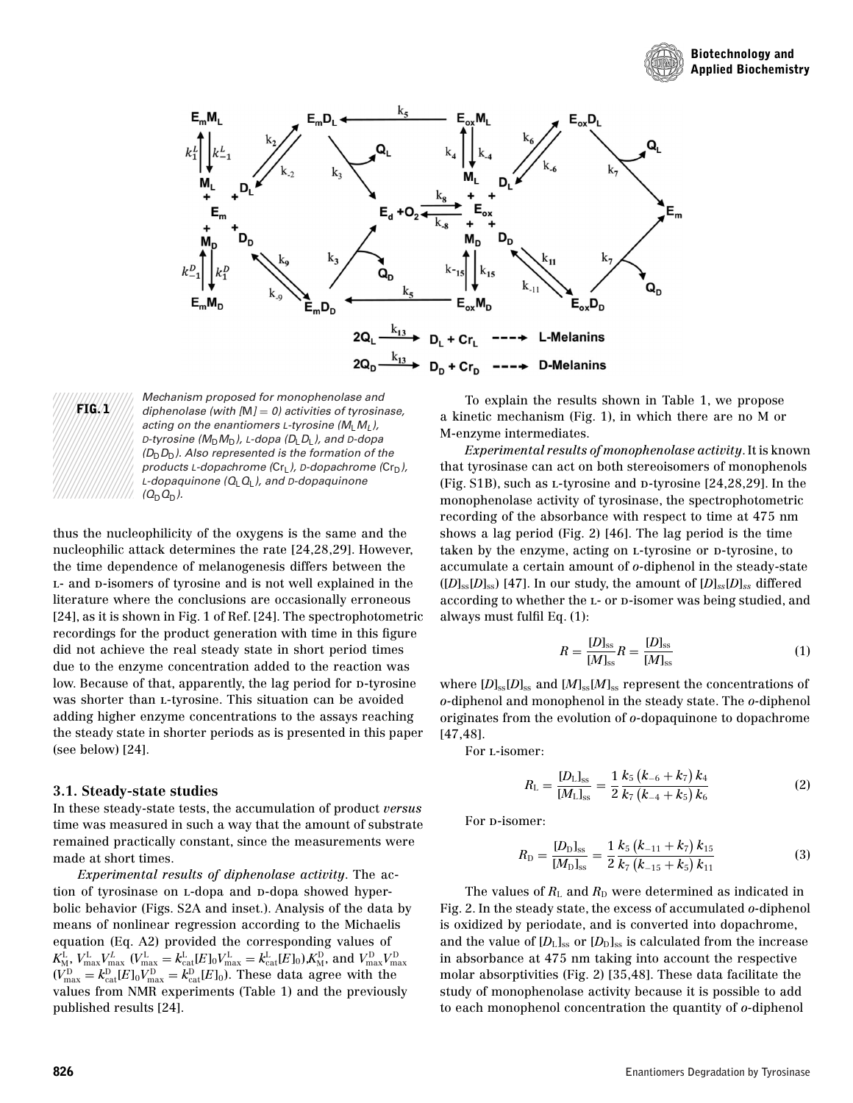





Mechanism proposed for monophenolase and diphenolase (with  $[M] = 0$ ) activities of tyrosinase, acting on the enantiomers L-tyrosine  $(M_1, M_1)$ , D-tyrosine ( $M_D M_D$ ), L-dopa ( $D_L D_L$ ), and D-dopa  $(D_D D_D)$ . Also represented is the formation of the products L-dopachrome ( $Cr<sub>L</sub>$ ), D-dopachrome ( $Cr<sub>D</sub>$ ), L-dopaquinone  $(Q_LQ_L)$ , and D-dopaquinone  $(Q_DQ_D)$ .

thus the nucleophilicity of the oxygens is the same and the nucleophilic attack determines the rate [24,28,29]. However, the time dependence of melanogenesis differs between the L- and D-isomers of tyrosine and is not well explained in the literature where the conclusions are occasionally erroneous [24], as it is shown in Fig. 1 of Ref. [24]. The spectrophotometric recordings for the product generation with time in this figure did not achieve the real steady state in short period times due to the enzyme concentration added to the reaction was low. Because of that, apparently, the lag period for  $\nu$ -tyrosine was shorter than l-tyrosine. This situation can be avoided adding higher enzyme concentrations to the assays reaching the steady state in shorter periods as is presented in this paper (see below) [24].

#### **3.1. Steady-state studies**

In these steady-state tests, the accumulation of product *versus* time was measured in such a way that the amount of substrate remained practically constant, since the measurements were made at short times.

*Experimental results of diphenolase activity*. The action of tyrosinase on L-dopa and D-dopa showed hyperbolic behavior (Figs. S2A and inset.). Analysis of the data by means of nonlinear regression according to the Michaelis equation (Eq. A2) provided the corresponding values of  $K_{\rm M}^{\rm L}, V_{\rm max}^{\rm L} V_{\rm max}^{\rm L}$  ( $V_{\rm max}^{\rm L} = k_{\rm cat}^{\rm L}[E]_0 V_{\rm max}^{\rm L} = k_{\rm cat}^{\rm L}[E]_0$ ), $K_{\rm M}^{\rm D}$ , and  $V_{\rm max}^{\rm D} V_{\rm max}^{\rm D}$ <br>( $V_{\rm max}^{\rm D} = k_{\rm cat}^{\rm D}[E]_0 V_{\rm max}^{\rm D} = k_{\rm cat}^{\rm D}[E]_0$ ). These data agree with values from NMR experiments (Table 1) and the previously published results [24].

To explain the results shown in Table 1, we propose a kinetic mechanism (Fig. 1), in which there are no M or M-enzyme intermediates.

*Experimental results of monophenolase activity*. It is known that tyrosinase can act on both stereoisomers of monophenols (Fig. S1B), such as *L*-tyrosine and *D*-tyrosine [24,28,29]. In the monophenolase activity of tyrosinase, the spectrophotometric recording of the absorbance with respect to time at 475 nm shows a lag period (Fig. 2) [46]. The lag period is the time taken by the enzyme, acting on *L*-tyrosine or *D*-tyrosine, to accumulate a certain amount of *o-*diphenol in the steady-state  $([D]_{ss}[D]_{ss})$  [47]. In our study, the amount of  $[D]_{ss}[D]_{ss}$  differed according to whether the L- or D-isomer was being studied, and always must fulfil Eq. (1):

$$
R = \frac{[D]_{\rm ss}}{[M]_{\rm ss}} R = \frac{[D]_{\rm ss}}{[M]_{\rm ss}}
$$
(1)

where  $[D]_{ss}[D]_{ss}$  and  $[M]_{ss}[M]_{ss}$  represent the concentrations of *o-*diphenol and monophenol in the steady state. The *o-*diphenol originates from the evolution of *o-*dopaquinone to dopachrome [47,48].

For l-isomer:

$$
R_{\rm L} = \frac{[D_{\rm L}]_{\rm ss}}{[M_{\rm L}]_{\rm ss}} = \frac{1}{2} \frac{k_5 (k_{-6} + k_7) k_4}{k_7 (k_{-4} + k_5) k_6}
$$
(2)

For p-isomer:

$$
R_{\rm D} = \frac{[D_{\rm D}]_{\rm ss}}{[M_{\rm D}]_{\rm ss}} = \frac{1}{2} \frac{k_5 (k_{-11} + k_7) k_{15}}{k_7 (k_{-15} + k_5) k_{11}} \tag{3}
$$

The values of  $R_{\text{L}}$  and  $R_{\text{D}}$  were determined as indicated in Fig. 2. In the steady state, the excess of accumulated *o-*diphenol is oxidized by periodate, and is converted into dopachrome, and the value of  $[D_L]_{ss}$  or  $[D_D]_{ss}$  is calculated from the increase in absorbance at 475 nm taking into account the respective molar absorptivities (Fig. 2) [35,48]. These data facilitate the study of monophenolase activity because it is possible to add to each monophenol concentration the quantity of *o-*diphenol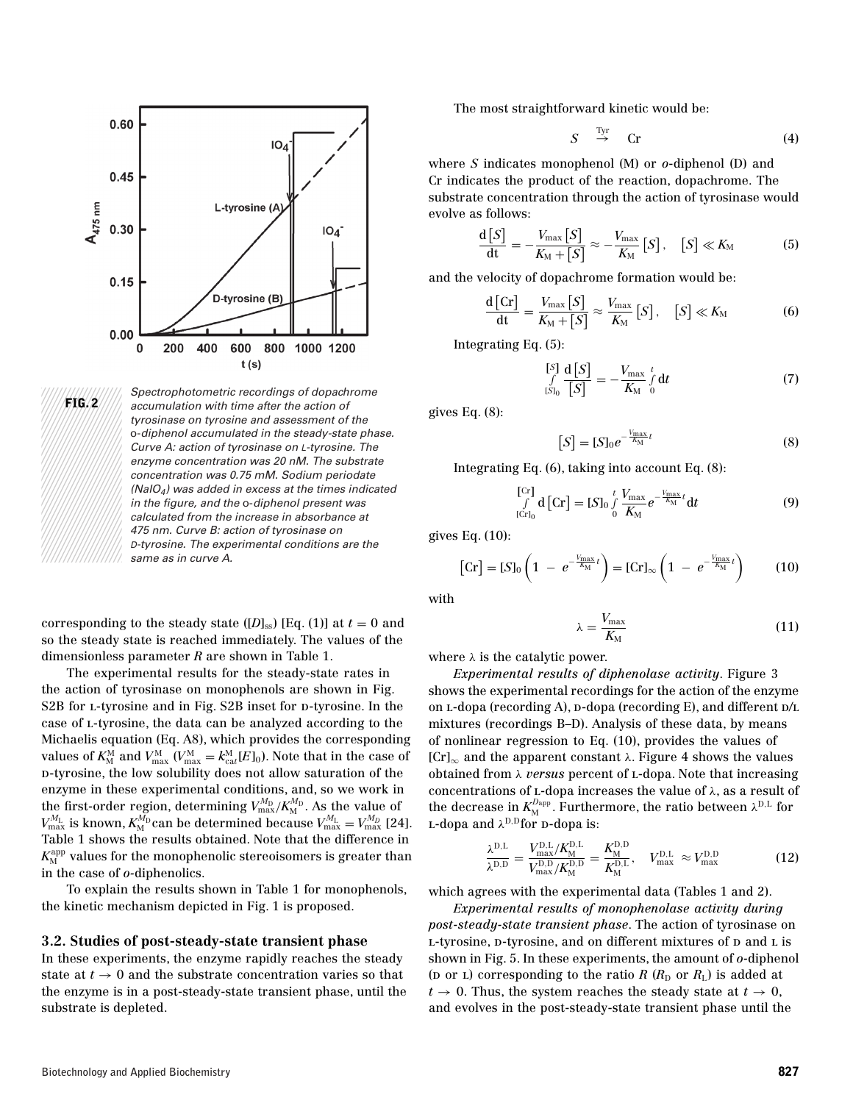



Spectrophotometric recordings of dopachrome accumulation with time after the action of tyrosinase on tyrosine and assessment of the o-diphenol accumulated in the steady-state phase. Curve A: action of tyrosinase on L-tyrosine. The enzyme concentration was 20 nM. The substrate concentration was 0.75 mM. Sodium periodate  $(NaIO<sub>4</sub>)$  was added in excess at the times indicated in the figure, and the o-diphenol present was calculated from the increase in absorbance at 475 nm. Curve B: action of tyrosinase on D-tyrosine. The experimental conditions are the same as in curve A.

corresponding to the steady state  $[D]_{ss}$  [Eq. (1)] at  $t = 0$  and so the steady state is reached immediately. The values of the dimensionless parameter *R* are shown in Table 1.

The experimental results for the steady-state rates in the action of tyrosinase on monophenols are shown in Fig. S2B for L-tyrosine and in Fig. S2B inset for p-tyrosine. In the case of l-tyrosine, the data can be analyzed according to the Michaelis equation (Eq. A8), which provides the corresponding values of  $K_{\text{M}}^{\text{M}}$  and  $V_{\text{max}}^{\text{M}}$  ( $V_{\text{max}}^{\text{M}} = k_{\text{cat}}^{\text{M}}[E]_0$ ). Note that in the case of d-tyrosine, the low solubility does not allow saturation of the enzyme in these experimental conditions, and, so we work in the first-order region, determining  $V_{\text{max}}^{M_D} / K_M^{M_D}$ . As the value of  $V_{\text{max}}^{M_{\text{L}}}$  is known,  $K_{\text{M}}^{M_{\text{D}}}$  can be determined because  $V_{\text{max}}^{M_{\text{L}}} = V_{\text{max}}^{M_{\text{D}}}$  [24]. Table 1 shows the results obtained. Note that the difference in  $K_{\rm M}^{\rm app}$  values for the monophenolic stereoisomers is greater than in the case of *o-*diphenolics.

To explain the results shown in Table 1 for monophenols, the kinetic mechanism depicted in Fig. 1 is proposed.

### **3.2. Studies of post-steady-state transient phase**

In these experiments, the enzyme rapidly reaches the steady state at  $t \to 0$  and the substrate concentration varies so that the enzyme is in a post-steady-state transient phase, until the substrate is depleted.

The most straightforward kinetic would be:

$$
S \stackrel{\text{Tyr}}{\rightarrow} \text{Cr} \tag{4}
$$

where *S* indicates monophenol (M) or *o*-diphenol (D) and Cr indicates the product of the reaction, dopachrome. The substrate concentration through the action of tyrosinase would evolve as follows:

$$
\frac{\mathrm{d}\left[S\right]}{\mathrm{d}t} = -\frac{V_{\max}\left[S\right]}{K_{\mathrm{M}} + \left[S\right]} \approx -\frac{V_{\max}}{K_{\mathrm{M}}}\left[S\right], \quad \left[S\right] \ll K_{\mathrm{M}} \tag{5}
$$

and the velocity of dopachrome formation would be:

$$
\frac{\mathrm{d}\left[\mathrm{Cr}\right]}{\mathrm{dt}} = \frac{V_{\mathrm{max}}\left[S\right]}{K_{\mathrm{M}} + \left[S\right]} \approx \frac{V_{\mathrm{max}}}{K_{\mathrm{M}}} \left[S\right], \quad \left[S\right] \ll K_{\mathrm{M}} \tag{6}
$$

Integrating Eq. (5):

$$
\int_{[S]_0}^{[S]} \frac{\mathrm{d}\left[S\right]}{\left[S\right]} = -\frac{V_{\text{max}}}{K_{\text{M}}} \int_{0}^{t} \mathrm{d}t \tag{7}
$$

gives Eq. (8):

$$
[S] = [S]_0 e^{-\frac{V_{\text{max}}}{K_M}t}
$$
\n(8)

Integrating Eq. (6), taking into account Eq. (8):

$$
\begin{bmatrix} \begin{bmatrix} Cr \end{bmatrix} \mathbf{d} \begin{bmatrix} Cr \end{bmatrix} = [S]_0 \int_0^t \frac{V_{\text{max}}}{K_M} e^{-\frac{V_{\text{max}}}{K_M}t} \mathbf{d}t \tag{9}
$$

gives Eq. (10):

$$
\begin{bmatrix} \text{Cr} \end{bmatrix} = [S]_0 \left( 1 - e^{-\frac{V_{\text{max}}}{K_{\text{M}}}} t \right) = [\text{Cr}]_{\infty} \left( 1 - e^{-\frac{V_{\text{max}}}{K_{\text{M}}}} t \right) \tag{10}
$$

with

$$
\lambda = \frac{V_{\text{max}}}{K_{\text{M}}} \tag{11}
$$

where  $\lambda$  is the catalytic power.

*Experimental results of diphenolase activity*. Figure 3 shows the experimental recordings for the action of the enzyme on  $L$ -dopa (recording A),  $D$ -dopa (recording E), and different  $D/L$ mixtures (recordings B–D). Analysis of these data, by means of nonlinear regression to Eq. (10), provides the values of  $[Cr]_{\infty}$  and the apparent constant  $\lambda$ . Figure 4 shows the values obtained from λ *versus* percent of l-dopa. Note that increasing concentrations of  $L$ -dopa increases the value of  $\lambda$ , as a result of the decrease in  $K_{\text{M}}^{D_{\text{app}}}$ . Furthermore, the ratio between  $\lambda^{\text{D,L}}$  for L-dopa and  $\lambda^{D,D}$  for D-dopa is:

$$
\frac{\lambda^{D,L}}{\lambda^{D,D}} = \frac{V_{\text{max}}^{D,L}/K_M^{D,L}}{V_{\text{max}}^{D,D}/K_M^{D,D}} = \frac{K_M^{D,D}}{K_M^{D,L}}, \quad V_{\text{max}}^{D,L} \approx V_{\text{max}}^{D,D} \tag{12}
$$

which agrees with the experimental data (Tables 1 and 2).

*Experimental results of monophenolase activity during post-steady-state transient phase*. The action of tyrosinase on L-tyrosine, p-tyrosine, and on different mixtures of p and L is shown in Fig. 5. In these experiments, the amount of *o-*diphenol ( $\infty$  or  $\infty$ ) corresponding to the ratio *R* ( $R_D$  or  $R_L$ ) is added at  $t \rightarrow 0$ . Thus, the system reaches the steady state at  $t \rightarrow 0$ , and evolves in the post-steady-state transient phase until the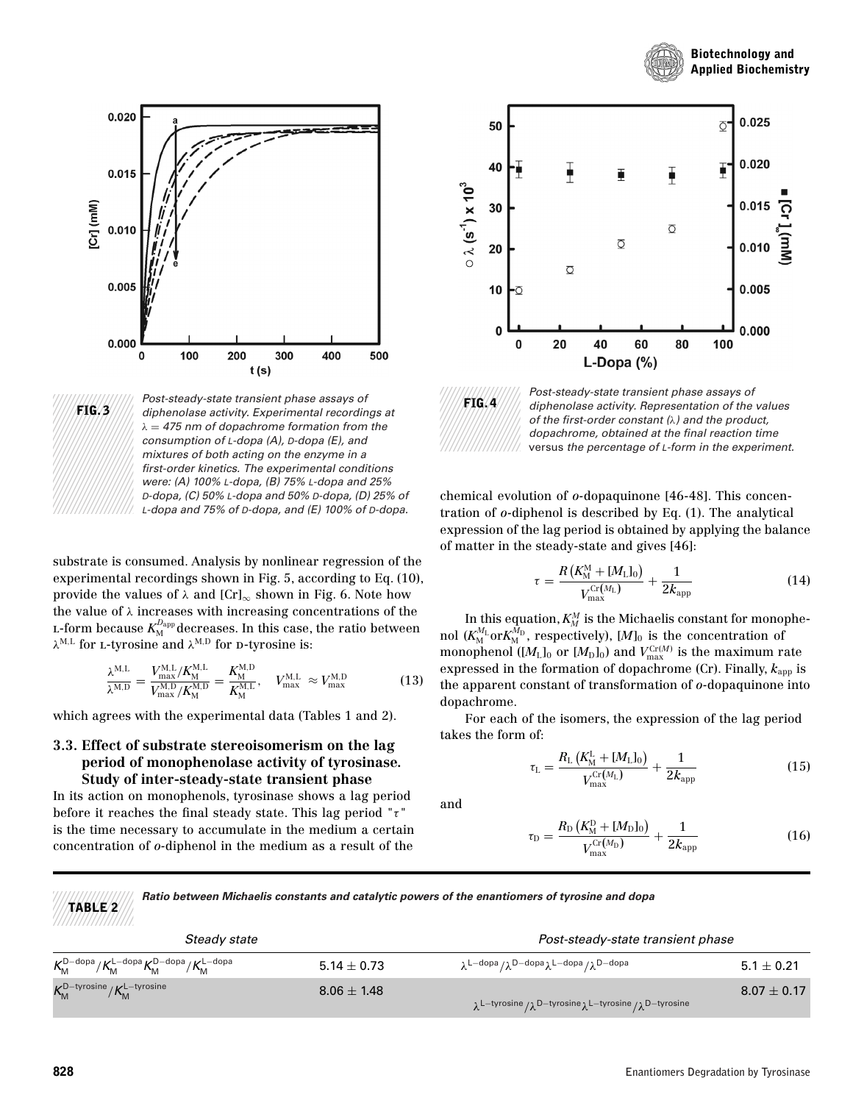





Post-steady-state transient phase assays of diphenolase activity. Experimental recordings at  $\lambda = 475$  nm of dopachrome formation from the consumption of L-dopa (A), D-dopa (E), and mixtures of both acting on the enzyme in a first-order kinetics. The experimental conditions were: (A) 100% L-dopa, (B) 75% L-dopa and 25% D-dopa, (C) 50% L-dopa and 50% D-dopa, (D) 25% of L-dopa and 75% of D-dopa, and (E) 100% of D-dopa.

substrate is consumed. Analysis by nonlinear regression of the experimental recordings shown in Fig. 5, according to Eq. (10), provide the values of  $\lambda$  and  $[Cr]_{\infty}$  shown in Fig. 6. Note how the value of  $\lambda$  increases with increasing concentrations of the  $_{\textrm{\tiny{L}}}$ -form because  $K_{\textrm{\tiny{M}}}^{D_{\textrm{app}}}$  decreases. In this case, the ratio between  $\lambda^{\text{M,L}}$  for L-tyrosine and  $\lambda^{\text{M,D}}$  for D-tyrosine is:

$$
\frac{\lambda^{M,L}}{\lambda^{M,D}} = \frac{V_{\text{max}}^{M,L}/K_M^{M,L}}{V_{\text{max}}^{M,D}/K_M^{M,D}} = \frac{K_M^{M,D}}{K_M^{M,L}}, \quad V_{\text{max}}^{M,L} \approx V_{\text{max}}^{M,D} \tag{13}
$$

which agrees with the experimental data (Tables 1 and 2).

### **3.3. Effect of substrate stereoisomerism on the lag period of monophenolase activity of tyrosinase. Study of inter-steady-state transient phase**

In its action on monophenols, tyrosinase shows a lag period before it reaches the final steady state. This lag period " $\tau$ " is the time necessary to accumulate in the medium a certain concentration of *o-*diphenol in the medium as a result of the





Post-steady-state transient phase assays of diphenolase activity. Representation of the values of the first-order constant  $(\lambda)$  and the product, dopachrome, obtained at the final reaction time versus the percentage of L-form in the experiment.

chemical evolution of *o-*dopaquinone [46-48]. This concentration of *o-*diphenol is described by Eq. (1). The analytical expression of the lag period is obtained by applying the balance of matter in the steady-state and gives [46]:

$$
\tau = \frac{R\left(K_{\rm M}^{\rm M} + [M_{\rm L}]_0\right)}{V_{\rm max}^{\rm Cr}(M_{\rm L})} + \frac{1}{2k_{\rm app}}\tag{14}
$$

In this equation,  $K_M^M$  is the Michaelis constant for monophenol ( $K_{\rm M}^{M_{\rm L}}$ or $K_{\rm M}^{M_{\rm D}}$ , respectively), [ $M]_0$  is the concentration of monophenol  $([M_L]_0$  or  $[M_D]_0$ ) and  $V_{\text{max}}^{Cr(M)}$  is the maximum rate expressed in the formation of dopachrome (Cr). Finally,  $k_{\text{app}}$  is the apparent constant of transformation of *o-*dopaquinone into dopachrome.

For each of the isomers, the expression of the lag period takes the form of:

$$
\tau_{\rm L} = \frac{R_{\rm L} \left( K_{\rm M}^{\rm L} + [M_{\rm L}]_0 \right)}{V_{\rm max}^{\rm Cr}(M_{\rm L})} + \frac{1}{2 k_{\rm app}} \tag{15}
$$

and

$$
\tau_{\rm D} = \frac{R_{\rm D} (K_{\rm D}^{\rm D} + [M_{\rm D}]_0)}{V_{\rm max}^{\rm Cr}(M_{\rm D})} + \frac{1}{2k_{\rm app}}
$$
(16)

**TABLE 2** *Ratio between Michaelis constants and catalytic powers of the enantiomers of tyrosine and dopa*

| Steady state                                                                                 |                 | Post-steady-state transient phase                                                    |                 |  |
|----------------------------------------------------------------------------------------------|-----------------|--------------------------------------------------------------------------------------|-----------------|--|
| $K_{\rm M}^{\rm D-dopa}/K_{\rm M}^{\rm L-dopa}K_{\rm M}^{\rm D-dopa}/K_{\rm M}^{\rm L-dopa}$ | $5.14 \pm 0.73$ | $\lambda^{L-dopa}/\lambda^{D-dopa}\lambda^{L-dopa}/\lambda^{D-dopa}$                 | $5.1 \pm 0.21$  |  |
| $K_{\rm M}^{\rm D-type times} / K_{\rm M}^{\rm L-type times}$                                | $8.06 \pm 1.48$ | $\lambda^{L-tyrosine}/\lambda^{D-tyrosine}\lambda^{L-tyrosine}/\lambda^{D-tyrosine}$ | $8.07 \pm 0.17$ |  |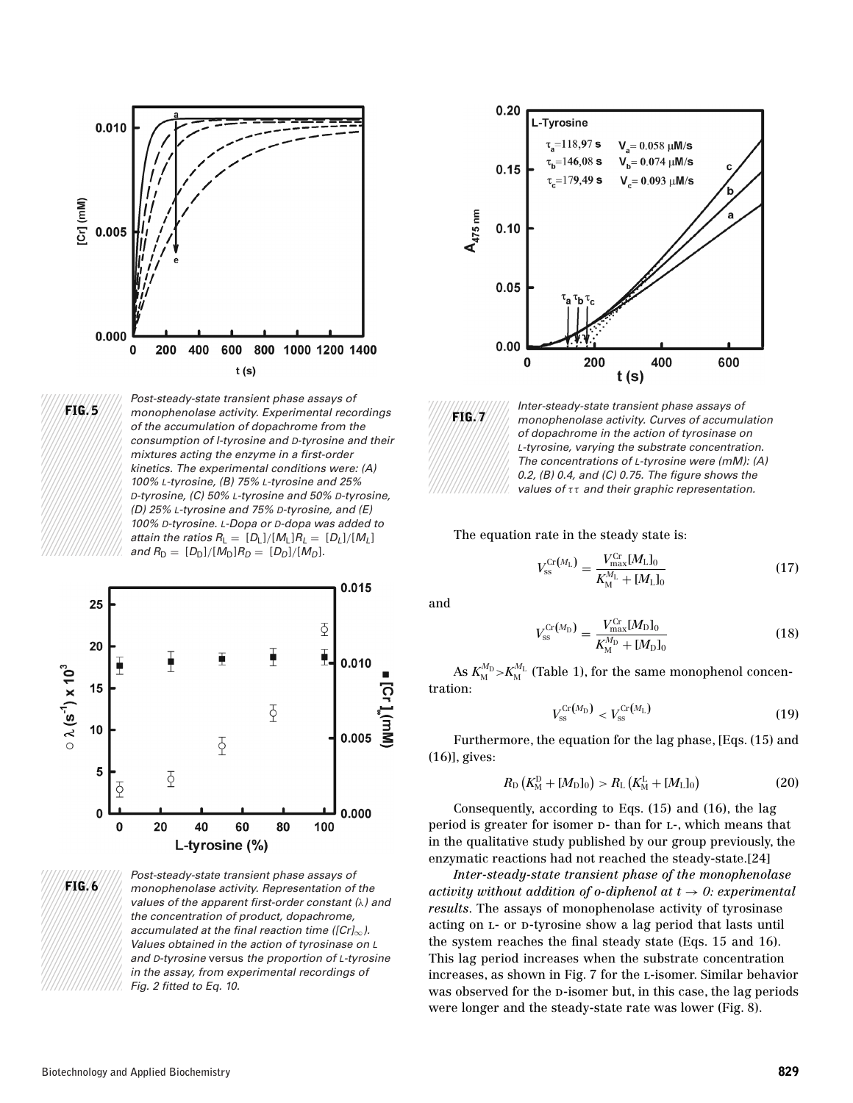



Post-steady-state transient phase assays of monophenolase activity. Experimental recordings of the accumulation of dopachrome from the consumption of l-tyrosine and D-tyrosine and their mixtures acting the enzyme in a first-order kinetics. The experimental conditions were: (A) 100% L-tyrosine, (B) 75% L-tyrosine and 25% D-tyrosine, (C) 50% L-tyrosine and 50% D-tyrosine, (D) 25% L-tyrosine and 75% D-tyrosine, and (E) 100% D-tyrosine. L-Dopa or D-dopa was added to attain the ratios  $R_L = [D_L]/[M_L]R_L = [D_L]/[M_L]$ and  $R_D = [D_D]/[M_D]R_D = [D_D]/[M_D]$ .



Post-steady-state transient phase assays of monophenolase activity. Representation of the values of the apparent first-order constant (λ) and the concentration of product, dopachrome, accumulated at the final reaction time ( $[Cr]_{\infty}$ ). Values obtained in the action of tyrosinase on L and D-tyrosine versus the proportion of L-tyrosine in the assay, from experimental recordings of Fig. 2 fitted to Eq. 10.





Inter-steady-state transient phase assays of monophenolase activity. Curves of accumulation of dopachrome in the action of tyrosinase on L-tyrosine, varying the substrate concentration. The concentrations of L-tyrosine were (mM): (A) 0.2, (B) 0.4, and (C) 0.75. The figure shows the values of  $\tau\tau$  and their graphic representation.

The equation rate in the steady state is:

$$
V_{\rm ss}^{\rm Cr}(M_{\rm L}) = \frac{V_{\rm max}^{\rm Cr}(M_{\rm L})_0}{K_{\rm M}^{M_{\rm L}} + [M_{\rm L}]_0} \tag{17}
$$

and

$$
V_{\rm ss}^{\rm Cr}(M_{\rm D}) = \frac{V_{\rm max}^{\rm Cr}(M_{\rm D})_0}{K_{\rm M}^{M_{\rm D}} + [M_{\rm D}]_0} \tag{18}
$$

As  $K_{\mathrm{M}}^{\mathcal{M}_{\mathrm{D}}}$  > $K_{\mathrm{M}}^{\mathcal{M}_{\mathrm{L}}}$  (Table 1), for the same monophenol concentration:

$$
V_{\rm ss}^{\rm Cr}(M_{\rm D}) < V_{\rm ss}^{\rm Cr}(M_{\rm L})\tag{19}
$$

Furthermore, the equation for the lag phase, [Eqs. (15) and (16)], gives:

$$
R_{\rm D}\left(K_{\rm M}^{\rm D}+[M_{\rm D}]_0\right) > R_{\rm L}\left(K_{\rm M}^{\rm L}+[M_{\rm L}]_0\right) \tag{20}
$$

Consequently, according to Eqs. (15) and (16), the lag period is greater for isomer  $D-$  than for  $L$ -, which means that in the qualitative study published by our group previously, the enzymatic reactions had not reached the steady-state.[24]

*Inter-steady-state transient phase of the monophenolase activity without addition of o-diphenol at*  $t \rightarrow 0$ *: experimental results*. The assays of monophenolase activity of tyrosinase acting on L- or D-tyrosine show a lag period that lasts until the system reaches the final steady state (Eqs. 15 and 16). This lag period increases when the substrate concentration increases, as shown in Fig. 7 for the l-isomer. Similar behavior was observed for the p-isomer but, in this case, the lag periods were longer and the steady-state rate was lower (Fig. 8).

**FIG. 6**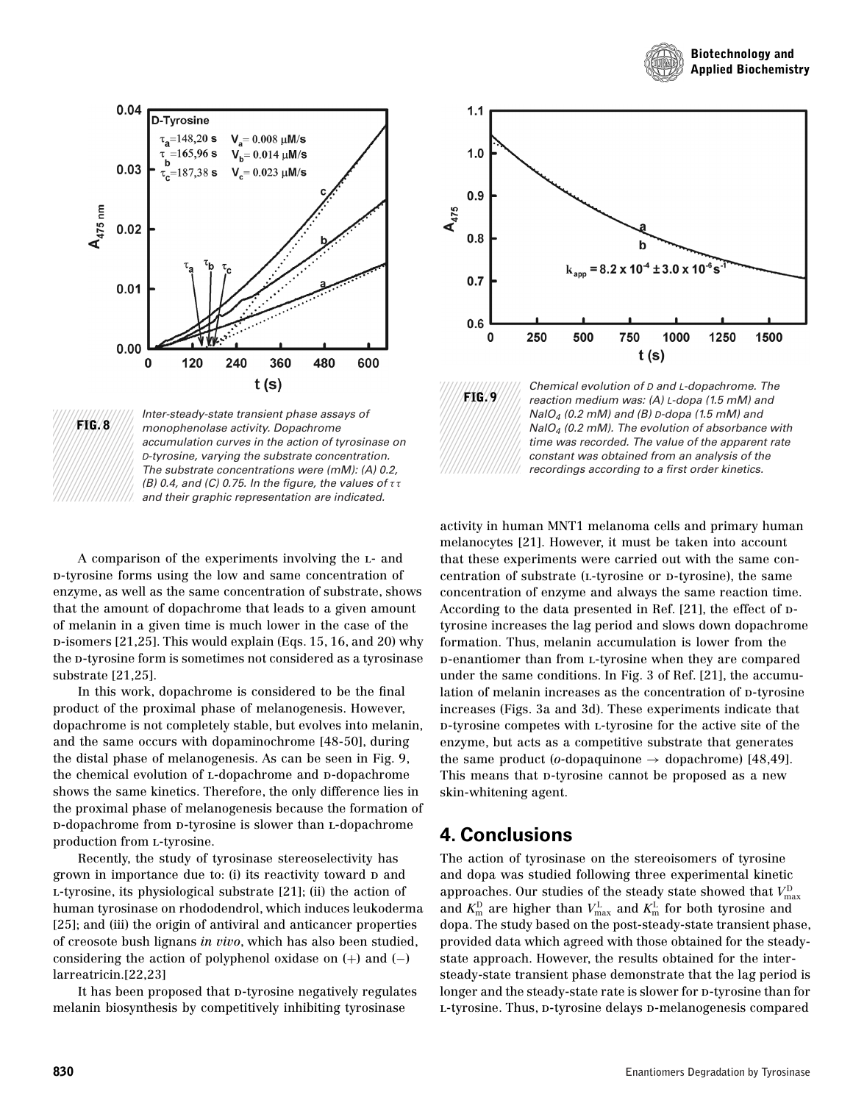





Inter-steady-state transient phase assays of monophenolase activity. Dopachrome accumulation curves in the action of tyrosinase on D-tyrosine, varying the substrate concentration. The substrate concentrations were (mM): (A) 0.2, (B) 0.4, and (C) 0.75. In the figure, the values of  $\tau\tau$ and their graphic representation are indicated.

A comparison of the experiments involving the l- and d-tyrosine forms using the low and same concentration of enzyme, as well as the same concentration of substrate, shows that the amount of dopachrome that leads to a given amount of melanin in a given time is much lower in the case of the d-isomers [21,25]. This would explain (Eqs. 15, 16, and 20) why the p-tyrosine form is sometimes not considered as a tyrosinase substrate [21,25].

In this work, dopachrome is considered to be the final product of the proximal phase of melanogenesis. However, dopachrome is not completely stable, but evolves into melanin, and the same occurs with dopaminochrome [48-50], during the distal phase of melanogenesis. As can be seen in Fig. 9, the chemical evolution of L-dopachrome and D-dopachrome shows the same kinetics. Therefore, the only difference lies in the proximal phase of melanogenesis because the formation of d-dopachrome from d-tyrosine is slower than l-dopachrome production from l-tyrosine.

Recently, the study of tyrosinase stereoselectivity has grown in importance due to: (i) its reactivity toward p and l-tyrosine, its physiological substrate [21]; (ii) the action of human tyrosinase on rhododendrol, which induces leukoderma [25]; and (iii) the origin of antiviral and anticancer properties of creosote bush lignans *in vivo*, which has also been studied, considering the action of polyphenol oxidase on  $(+)$  and  $(-)$ larreatricin.[22,23]

It has been proposed that p-tyrosine negatively regulates melanin biosynthesis by competitively inhibiting tyrosinase



Chemical evolution of D and L-dopachrome. The reaction medium was: (A) L-dopa (1.5 mM) and NaIO<sub>4</sub> (0.2 mM) and (B) D-dopa (1.5 mM) and  $N$ alO<sub>4</sub> (0.2 mM). The evolution of absorbance with time was recorded. The value of the apparent rate constant was obtained from an analysis of the recordings according to a first order kinetics.

activity in human MNT1 melanoma cells and primary human melanocytes [21]. However, it must be taken into account that these experiments were carried out with the same concentration of substrate (L-tyrosine or p-tyrosine), the same concentration of enzyme and always the same reaction time. According to the data presented in Ref.  $[21]$ , the effect of  $D$ tyrosine increases the lag period and slows down dopachrome formation. Thus, melanin accumulation is lower from the d-enantiomer than from l-tyrosine when they are compared under the same conditions. In Fig. 3 of Ref. [21], the accumulation of melanin increases as the concentration of p-tyrosine increases (Figs. 3a and 3d). These experiments indicate that d-tyrosine competes with l-tyrosine for the active site of the enzyme, but acts as a competitive substrate that generates the same product (*o*-dopaquinone  $\rightarrow$  dopachrome) [48,49]. This means that p-tyrosine cannot be proposed as a new skin-whitening agent.

# **4. Conclusions**

**FIG. 9**

The action of tyrosinase on the stereoisomers of tyrosine and dopa was studied following three experimental kinetic approaches. Our studies of the steady state showed that  $V_{\rm max}^{\rm D}$ and  $K_{\text{m}}^{\text{D}}$  are higher than  $V_{\text{max}}^{\text{L}}$  and  $K_{\text{m}}^{\text{L}}$  for both tyrosine and dopa. The study based on the post-steady-state transient phase, provided data which agreed with those obtained for the steadystate approach. However, the results obtained for the intersteady-state transient phase demonstrate that the lag period is longer and the steady-state rate is slower for  $p$ -tyrosine than for L-tyrosine. Thus, p-tyrosine delays p-melanogenesis compared